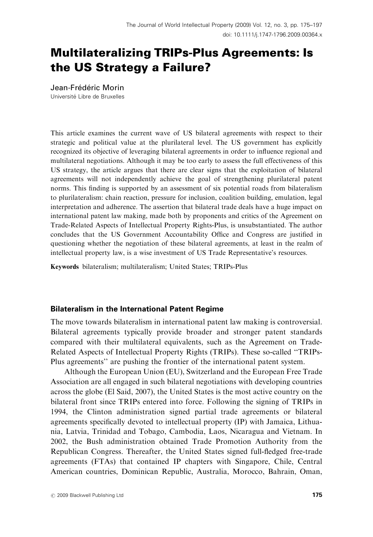# Multilateralizing TRIPs-Plus Agreements: Is the US Strategy a Failure?

Jean-Frédéric Morin Universite Libre de Bruxelles ´

This article examines the current wave of US bilateral agreements with respect to their strategic and political value at the plurilateral level. The US government has explicitly recognized its objective of leveraging bilateral agreements in order to influence regional and multilateral negotiations. Although it may be too early to assess the full effectiveness of this US strategy, the article argues that there are clear signs that the exploitation of bilateral agreements will not independently achieve the goal of strengthening plurilateral patent norms. This finding is supported by an assessment of six potential roads from bilateralism to plurilateralism: chain reaction, pressure for inclusion, coalition building, emulation, legal interpretation and adherence. The assertion that bilateral trade deals have a huge impact on international patent law making, made both by proponents and critics of the Agreement on Trade-Related Aspects of Intellectual Property Rights-Plus, is unsubstantiated. The author concludes that the US Government Accountability Office and Congress are justified in questioning whether the negotiation of these bilateral agreements, at least in the realm of intellectual property law, is a wise investment of US Trade Representative's resources.

Keywords bilateralism; multilateralism; United States; TRIPs-Plus

#### **Bilateralism in the International Patent Regime**

The move towards bilateralism in international patent law making is controversial. Bilateral agreements typically provide broader and stronger patent standards compared with their multilateral equivalents, such as the Agreement on Trade-Related Aspects of Intellectual Property Rights (TRIPs). These so-called ''TRIPs-Plus agreements'' are pushing the frontier of the international patent system.

Although the European Union (EU), Switzerland and the European Free Trade Association are all engaged in such bilateral negotiations with developing countries across the globe (El Said, 2007), the United States is the most active country on the bilateral front since TRIPs entered into force. Following the signing of TRIPs in 1994, the Clinton administration signed partial trade agreements or bilateral agreements specifically devoted to intellectual property (IP) with Jamaica, Lithuania, Latvia, Trinidad and Tobago, Cambodia, Laos, Nicaragua and Vietnam. In 2002, the Bush administration obtained Trade Promotion Authority from the Republican Congress. Thereafter, the United States signed full-fledged free-trade agreements (FTAs) that contained IP chapters with Singapore, Chile, Central American countries, Dominican Republic, Australia, Morocco, Bahrain, Oman,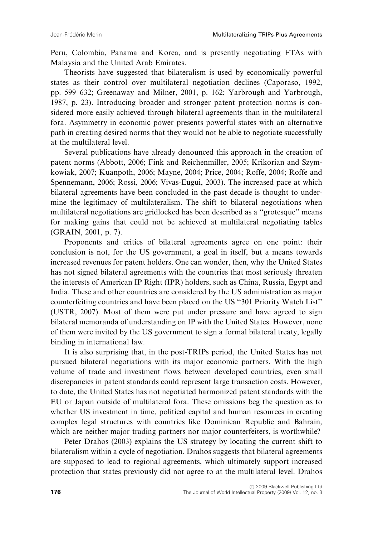Peru, Colombia, Panama and Korea, and is presently negotiating FTAs with Malaysia and the United Arab Emirates.

Theorists have suggested that bilateralism is used by economically powerful states as their control over multilateral negotiation declines (Caporaso, 1992, pp. 599–632; Greenaway and Milner, 2001, p. 162; Yarbrough and Yarbrough, 1987, p. 23). Introducing broader and stronger patent protection norms is considered more easily achieved through bilateral agreements than in the multilateral fora. Asymmetry in economic power presents powerful states with an alternative path in creating desired norms that they would not be able to negotiate successfully at the multilateral level.

Several publications have already denounced this approach in the creation of patent norms (Abbott, 2006; Fink and Reichenmiller, 2005; Krikorian and Szymkowiak, 2007; Kuanpoth, 2006; Mayne, 2004; Price, 2004; Roffe, 2004; Roffe and Spennemann, 2006; Rossi, 2006; Vivas-Eugui, 2003). The increased pace at which bilateral agreements have been concluded in the past decade is thought to undermine the legitimacy of multilateralism. The shift to bilateral negotiations when multilateral negotiations are gridlocked has been described as a ''grotesque'' means for making gains that could not be achieved at multilateral negotiating tables (GRAIN, 2001, p. 7).

Proponents and critics of bilateral agreements agree on one point: their conclusion is not, for the US government, a goal in itself, but a means towards increased revenues for patent holders. One can wonder, then, why the United States has not signed bilateral agreements with the countries that most seriously threaten the interests of American IP Right (IPR) holders, such as China, Russia, Egypt and India. These and other countries are considered by the US administration as major counterfeiting countries and have been placed on the US ''301 Priority Watch List'' (USTR, 2007). Most of them were put under pressure and have agreed to sign bilateral memoranda of understanding on IP with the United States. However, none of them were invited by the US government to sign a formal bilateral treaty, legally binding in international law.

It is also surprising that, in the post-TRIPs period, the United States has not pursued bilateral negotiations with its major economic partners. With the high volume of trade and investment flows between developed countries, even small discrepancies in patent standards could represent large transaction costs. However, to date, the United States has not negotiated harmonized patent standards with the EU or Japan outside of multilateral fora. These omissions beg the question as to whether US investment in time, political capital and human resources in creating complex legal structures with countries like Dominican Republic and Bahrain, which are neither major trading partners nor major counterfeiters, is worthwhile?

Peter Drahos (2003) explains the US strategy by locating the current shift to bilateralism within a cycle of negotiation. Drahos suggests that bilateral agreements are supposed to lead to regional agreements, which ultimately support increased protection that states previously did not agree to at the multilateral level. Drahos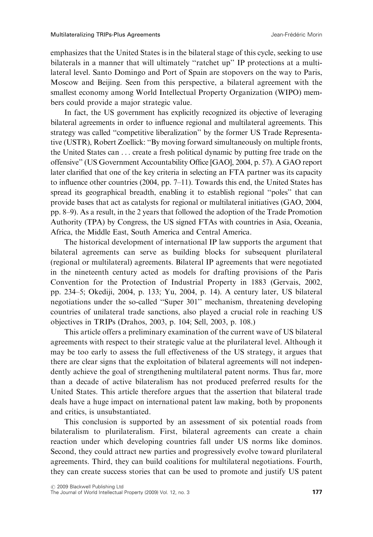emphasizes that the United States is in the bilateral stage of this cycle, seeking to use bilaterals in a manner that will ultimately "ratchet up" IP protections at a multilateral level. Santo Domingo and Port of Spain are stopovers on the way to Paris, Moscow and Beijing. Seen from this perspective, a bilateral agreement with the smallest economy among World Intellectual Property Organization (WIPO) members could provide a major strategic value.

In fact, the US government has explicitly recognized its objective of leveraging bilateral agreements in order to influence regional and multilateral agreements. This strategy was called ''competitive liberalization'' by the former US Trade Representative (USTR), Robert Zoellick: ''By moving forward simultaneously on multiple fronts, the United States can . . . create a fresh political dynamic by putting free trade on the offensive'' (US Government Accountability Office [GAO], 2004, p. 57). A GAO report later clarified that one of the key criteria in selecting an FTA partner was its capacity to influence other countries (2004, pp. 7–11). Towards this end, the United States has spread its geographical breadth, enabling it to establish regional ''poles'' that can provide bases that act as catalysts for regional or multilateral initiatives (GAO, 2004, pp. 8–9). As a result, in the 2 years that followed the adoption of the Trade Promotion Authority (TPA) by Congress, the US signed FTAs with countries in Asia, Oceania, Africa, the Middle East, South America and Central America.

The historical development of international IP law supports the argument that bilateral agreements can serve as building blocks for subsequent plurilateral (regional or multilateral) agreements. Bilateral IP agreements that were negotiated in the nineteenth century acted as models for drafting provisions of the Paris Convention for the Protection of Industrial Property in 1883 (Gervais, 2002, pp. 234–5; Okediji, 2004, p. 133; Yu, 2004, p. 14). A century later, US bilateral negotiations under the so-called ''Super 301'' mechanism, threatening developing countries of unilateral trade sanctions, also played a crucial role in reaching US objectives in TRIPs (Drahos, 2003, p. 104; Sell, 2003, p. 108.)

This article offers a preliminary examination of the current wave of US bilateral agreements with respect to their strategic value at the plurilateral level. Although it may be too early to assess the full effectiveness of the US strategy, it argues that there are clear signs that the exploitation of bilateral agreements will not independently achieve the goal of strengthening multilateral patent norms. Thus far, more than a decade of active bilateralism has not produced preferred results for the United States. This article therefore argues that the assertion that bilateral trade deals have a huge impact on international patent law making, both by proponents and critics, is unsubstantiated.

This conclusion is supported by an assessment of six potential roads from bilateralism to plurilateralism. First, bilateral agreements can create a chain reaction under which developing countries fall under US norms like dominos. Second, they could attract new parties and progressively evolve toward plurilateral agreements. Third, they can build coalitions for multilateral negotiations. Fourth, they can create success stories that can be used to promote and justify US patent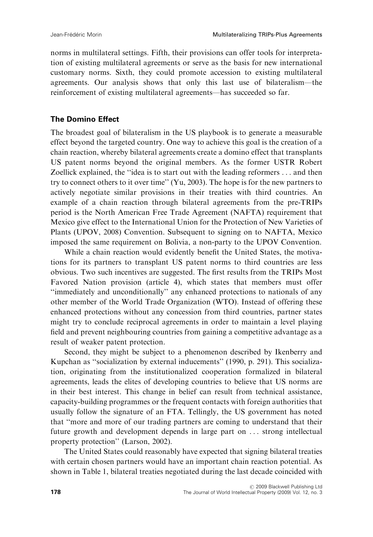norms in multilateral settings. Fifth, their provisions can offer tools for interpretation of existing multilateral agreements or serve as the basis for new international customary norms. Sixth, they could promote accession to existing multilateral agreements. Our analysis shows that only this last use of bilateralism—the reinforcement of existing multilateral agreements—has succeeded so far.

## **The Domino Effect**

The broadest goal of bilateralism in the US playbook is to generate a measurable effect beyond the targeted country. One way to achieve this goal is the creation of a chain reaction, whereby bilateral agreements create a domino effect that transplants US patent norms beyond the original members. As the former USTR Robert Zoellick explained, the ''idea is to start out with the leading reformers . . . and then try to connect others to it over time'' (Yu, 2003). The hope is for the new partners to actively negotiate similar provisions in their treaties with third countries. An example of a chain reaction through bilateral agreements from the pre-TRIPs period is the North American Free Trade Agreement (NAFTA) requirement that Mexico give effect to the International Union for the Protection of New Varieties of Plants (UPOV, 2008) Convention. Subsequent to signing on to NAFTA, Mexico imposed the same requirement on Bolivia, a non-party to the UPOV Convention.

While a chain reaction would evidently benefit the United States, the motivations for its partners to transplant US patent norms to third countries are less obvious. Two such incentives are suggested. The first results from the TRIPs Most Favored Nation provision (article 4), which states that members must offer ''immediately and unconditionally'' any enhanced protections to nationals of any other member of the World Trade Organization (WTO). Instead of offering these enhanced protections without any concession from third countries, partner states might try to conclude reciprocal agreements in order to maintain a level playing field and prevent neighbouring countries from gaining a competitive advantage as a result of weaker patent protection.

Second, they might be subject to a phenomenon described by Ikenberry and Kupchan as ''socialization by external inducements'' (1990, p. 291). This socialization, originating from the institutionalized cooperation formalized in bilateral agreements, leads the elites of developing countries to believe that US norms are in their best interest. This change in belief can result from technical assistance, capacity-building programmes or the frequent contacts with foreign authorities that usually follow the signature of an FTA. Tellingly, the US government has noted that ''more and more of our trading partners are coming to understand that their future growth and development depends in large part on . . . strong intellectual property protection'' (Larson, 2002).

The United States could reasonably have expected that signing bilateral treaties with certain chosen partners would have an important chain reaction potential. As shown in Table 1, bilateral treaties negotiated during the last decade coincided with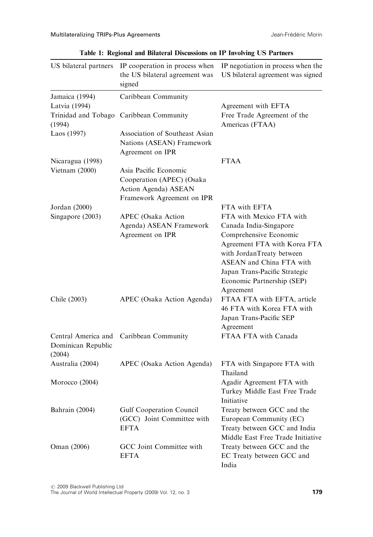| US bilateral partners        | IP cooperation in process when<br>the US bilateral agreement was<br>signed | IP negotiation in process when the<br>US bilateral agreement was signed |
|------------------------------|----------------------------------------------------------------------------|-------------------------------------------------------------------------|
| Jamaica (1994)               | Caribbean Community                                                        |                                                                         |
| Latvia (1994)                |                                                                            | Agreement with EFTA                                                     |
| (1994)                       | Trinidad and Tobago Caribbean Community                                    | Free Trade Agreement of the<br>Americas (FTAA)                          |
| Laos (1997)                  | Association of Southeast Asian<br>Nations (ASEAN) Framework                |                                                                         |
|                              | Agreement on IPR                                                           |                                                                         |
| Nicaragua (1998)             |                                                                            | <b>FTAA</b>                                                             |
| Vietnam (2000)               | Asia Pacific Economic                                                      |                                                                         |
|                              | Cooperation (APEC) (Osaka<br>Action Agenda) ASEAN                          |                                                                         |
|                              | Framework Agreement on IPR                                                 |                                                                         |
| Jordan (2000)                |                                                                            | FTA with EFTA                                                           |
| Singapore (2003)             | APEC (Osaka Action                                                         | FTA with Mexico FTA with                                                |
|                              | Agenda) ASEAN Framework                                                    | Canada India-Singapore                                                  |
|                              | Agreement on IPR                                                           | Comprehensive Economic                                                  |
|                              |                                                                            | Agreement FTA with Korea FTA                                            |
|                              |                                                                            | with JordanTreaty between                                               |
|                              |                                                                            | ASEAN and China FTA with                                                |
|                              |                                                                            | Japan Trans-Pacific Strategic                                           |
|                              |                                                                            | Economic Partnership (SEP)                                              |
|                              |                                                                            | Agreement                                                               |
| Chile (2003)                 | APEC (Osaka Action Agenda)                                                 | FTAA FTA with EFTA, article                                             |
|                              |                                                                            | 46 FTA with Korea FTA with                                              |
|                              |                                                                            | Japan Trans-Pacific SEP                                                 |
| Central America and          |                                                                            | Agreement<br>FTAA FTA with Canada                                       |
| Dominican Republic<br>(2004) | Caribbean Community                                                        |                                                                         |
| Australia (2004)             | APEC (Osaka Action Agenda)                                                 | FTA with Singapore FTA with                                             |
|                              |                                                                            | Thailand                                                                |
| Morocco $(2004)$             |                                                                            | Agadir Agreement FTA with                                               |
|                              |                                                                            | Turkey Middle East Free Trade                                           |
|                              |                                                                            | Initiative                                                              |
| Bahrain (2004)               | Gulf Cooperation Council                                                   | Treaty between GCC and the                                              |
|                              | (GCC) Joint Committee with                                                 | European Community (EC)                                                 |
|                              | <b>EFTA</b>                                                                | Treaty between GCC and India<br>Middle East Free Trade Initiative       |
| Oman (2006)                  | GCC Joint Committee with                                                   | Treaty between GCC and the                                              |
|                              | <b>EFTA</b>                                                                | EC Treaty between GCC and                                               |
|                              |                                                                            | India                                                                   |

|  | Table 1: Regional and Bilateral Discussions on IP Involving US Partners |  |  |  |  |  |  |
|--|-------------------------------------------------------------------------|--|--|--|--|--|--|
|--|-------------------------------------------------------------------------|--|--|--|--|--|--|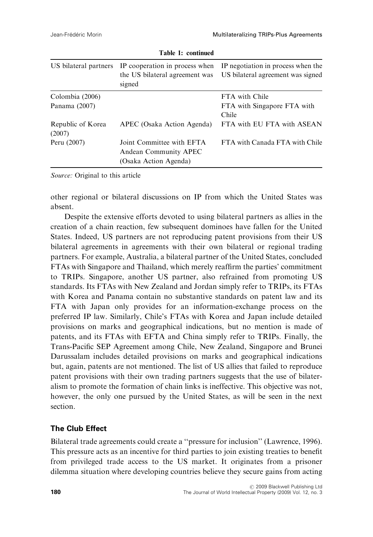| US bilateral partners       | IP cooperation in process when<br>the US bilateral agreement was<br>signed  | IP negotiation in process when the<br>US bilateral agreement was signed |
|-----------------------------|-----------------------------------------------------------------------------|-------------------------------------------------------------------------|
| Colombia (2006)             |                                                                             | FTA with Chile                                                          |
| Panama $(2007)$             |                                                                             | FTA with Singapore FTA with<br>Chile                                    |
| Republic of Korea<br>(2007) | APEC (Osaka Action Agenda)                                                  | FTA with EU FTA with ASEAN                                              |
| Peru (2007)                 | Joint Committee with EFTA<br>Andean Community APEC<br>(Osaka Action Agenda) | FTA with Canada FTA with Chile                                          |

Table 1: continued

Source: Original to this article

other regional or bilateral discussions on IP from which the United States was absent.

Despite the extensive efforts devoted to using bilateral partners as allies in the creation of a chain reaction, few subsequent dominoes have fallen for the United States. Indeed, US partners are not reproducing patent provisions from their US bilateral agreements in agreements with their own bilateral or regional trading partners. For example, Australia, a bilateral partner of the United States, concluded FTAs with Singapore and Thailand, which merely reaffirm the parties' commitment to TRIPs. Singapore, another US partner, also refrained from promoting US standards. Its FTAs with New Zealand and Jordan simply refer to TRIPs, its FTAs with Korea and Panama contain no substantive standards on patent law and its FTA with Japan only provides for an information-exchange process on the preferred IP law. Similarly, Chile's FTAs with Korea and Japan include detailed provisions on marks and geographical indications, but no mention is made of patents, and its FTAs with EFTA and China simply refer to TRIPs. Finally, the Trans-Pacific SEP Agreement among Chile, New Zealand, Singapore and Brunei Darussalam includes detailed provisions on marks and geographical indications but, again, patents are not mentioned. The list of US allies that failed to reproduce patent provisions with their own trading partners suggests that the use of bilateralism to promote the formation of chain links is ineffective. This objective was not, however, the only one pursued by the United States, as will be seen in the next section.

## **The Club Effect**

Bilateral trade agreements could create a ''pressure for inclusion'' (Lawrence, 1996). This pressure acts as an incentive for third parties to join existing treaties to benefit from privileged trade access to the US market. It originates from a prisoner dilemma situation where developing countries believe they secure gains from acting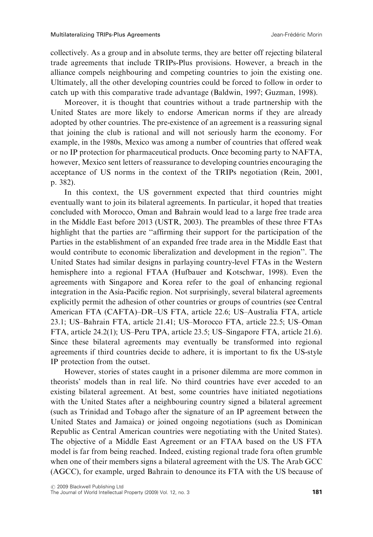collectively. As a group and in absolute terms, they are better off rejecting bilateral trade agreements that include TRIPs-Plus provisions. However, a breach in the alliance compels neighbouring and competing countries to join the existing one. Ultimately, all the other developing countries could be forced to follow in order to catch up with this comparative trade advantage (Baldwin, 1997; Guzman, 1998).

Moreover, it is thought that countries without a trade partnership with the United States are more likely to endorse American norms if they are already adopted by other countries. The pre-existence of an agreement is a reassuring signal that joining the club is rational and will not seriously harm the economy. For example, in the 1980s, Mexico was among a number of countries that offered weak or no IP protection for pharmaceutical products. Once becoming party to NAFTA, however, Mexico sent letters of reassurance to developing countries encouraging the acceptance of US norms in the context of the TRIPs negotiation (Rein, 2001, p. 382).

In this context, the US government expected that third countries might eventually want to join its bilateral agreements. In particular, it hoped that treaties concluded with Morocco, Oman and Bahrain would lead to a large free trade area in the Middle East before 2013 (USTR, 2003). The preambles of these three FTAs highlight that the parties are ''affirming their support for the participation of the Parties in the establishment of an expanded free trade area in the Middle East that would contribute to economic liberalization and development in the region''. The United States had similar designs in parlaying country-level FTAs in the Western hemisphere into a regional FTAA (Hufbauer and Kotschwar, 1998). Even the agreements with Singapore and Korea refer to the goal of enhancing regional integration in the Asia-Pacific region. Not surprisingly, several bilateral agreements explicitly permit the adhesion of other countries or groups of countries (see Central American FTA (CAFTA)–DR–US FTA, article 22.6; US–Australia FTA, article 23.1; US–Bahrain FTA, article 21.41; US–Morocco FTA, article 22.5; US–Oman FTA, article 24.2(1); US–Peru TPA, article 23.5; US–Singapore FTA, article 21.6). Since these bilateral agreements may eventually be transformed into regional agreements if third countries decide to adhere, it is important to fix the US-style IP protection from the outset.

However, stories of states caught in a prisoner dilemma are more common in theorists' models than in real life. No third countries have ever acceded to an existing bilateral agreement. At best, some countries have initiated negotiations with the United States after a neighbouring country signed a bilateral agreement (such as Trinidad and Tobago after the signature of an IP agreement between the United States and Jamaica) or joined ongoing negotiations (such as Dominican Republic as Central American countries were negotiating with the United States). The objective of a Middle East Agreement or an FTAA based on the US FTA model is far from being reached. Indeed, existing regional trade fora often grumble when one of their members signs a bilateral agreement with the US. The Arab GCC (AGCC), for example, urged Bahrain to denounce its FTA with the US because of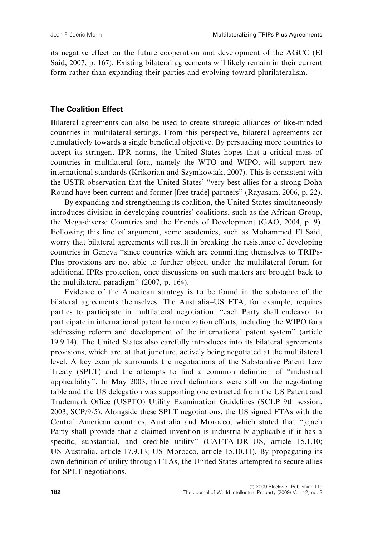its negative effect on the future cooperation and development of the AGCC (El Said, 2007, p. 167). Existing bilateral agreements will likely remain in their current form rather than expanding their parties and evolving toward plurilateralism.

# **The Coalition Effect**

Bilateral agreements can also be used to create strategic alliances of like-minded countries in multilateral settings. From this perspective, bilateral agreements act cumulatively towards a single beneficial objective. By persuading more countries to accept its stringent IPR norms, the United States hopes that a critical mass of countries in multilateral fora, namely the WTO and WIPO, will support new international standards (Krikorian and Szymkowiak, 2007). This is consistent with the USTR observation that the United States' ''very best allies for a strong Doha Round have been current and former [free trade] partners'' (Rayasam, 2006, p. 22).

By expanding and strengthening its coalition, the United States simultaneously introduces division in developing countries' coalitions, such as the African Group, the Mega-diverse Countries and the Friends of Development (GAO, 2004, p. 9). Following this line of argument, some academics, such as Mohammed El Said, worry that bilateral agreements will result in breaking the resistance of developing countries in Geneva ''since countries which are committing themselves to TRIPs-Plus provisions are not able to further object, under the multilateral forum for additional IPRs protection, once discussions on such matters are brought back to the multilateral paradigm'' (2007, p. 164).

Evidence of the American strategy is to be found in the substance of the bilateral agreements themselves. The Australia–US FTA, for example, requires parties to participate in multilateral negotiation: ''each Party shall endeavor to participate in international patent harmonization efforts, including the WIPO fora addressing reform and development of the international patent system'' (article 19.9.14). The United States also carefully introduces into its bilateral agreements provisions, which are, at that juncture, actively being negotiated at the multilateral level. A key example surrounds the negotiations of the Substantive Patent Law Treaty (SPLT) and the attempts to find a common definition of ''industrial applicability''. In May 2003, three rival definitions were still on the negotiating table and the US delegation was supporting one extracted from the US Patent and Trademark Office (USPTO) Utility Examination Guidelines (SCLP 9th session, 2003, SCP/9/5). Alongside these SPLT negotiations, the US signed FTAs with the Central American countries, Australia and Morocco, which stated that ''[e]ach Party shall provide that a claimed invention is industrially applicable if it has a specific, substantial, and credible utility" (CAFTA-DR-US, article 15.1.10; US–Australia, article 17.9.13; US–Morocco, article 15.10.11). By propagating its own definition of utility through FTAs, the United States attempted to secure allies for SPLT negotiations.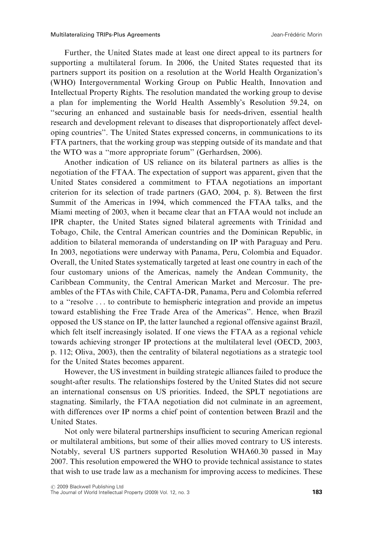Further, the United States made at least one direct appeal to its partners for supporting a multilateral forum. In 2006, the United States requested that its partners support its position on a resolution at the World Health Organization's (WHO) Intergovernmental Working Group on Public Health, Innovation and Intellectual Property Rights. The resolution mandated the working group to devise a plan for implementing the World Health Assembly's Resolution 59.24, on ''securing an enhanced and sustainable basis for needs-driven, essential health research and development relevant to diseases that disproportionately affect developing countries''. The United States expressed concerns, in communications to its FTA partners, that the working group was stepping outside of its mandate and that the WTO was a ''more appropriate forum'' (Gerhardsen, 2006).

Another indication of US reliance on its bilateral partners as allies is the negotiation of the FTAA. The expectation of support was apparent, given that the United States considered a commitment to FTAA negotiations an important criterion for its selection of trade partners (GAO, 2004, p. 8). Between the first Summit of the Americas in 1994, which commenced the FTAA talks, and the Miami meeting of 2003, when it became clear that an FTAA would not include an IPR chapter, the United States signed bilateral agreements with Trinidad and Tobago, Chile, the Central American countries and the Dominican Republic, in addition to bilateral memoranda of understanding on IP with Paraguay and Peru. In 2003, negotiations were underway with Panama, Peru, Colombia and Equador. Overall, the United States systematically targeted at least one country in each of the four customary unions of the Americas, namely the Andean Community, the Caribbean Community, the Central American Market and Mercosur. The preambles of the FTAs with Chile, CAFTA-DR, Panama, Peru and Colombia referred to a ''resolve . . . to contribute to hemispheric integration and provide an impetus toward establishing the Free Trade Area of the Americas''. Hence, when Brazil opposed the US stance on IP, the latter launched a regional offensive against Brazil, which felt itself increasingly isolated. If one views the FTAA as a regional vehicle towards achieving stronger IP protections at the multilateral level (OECD, 2003, p. 112; Oliva, 2003), then the centrality of bilateral negotiations as a strategic tool for the United States becomes apparent.

However, the US investment in building strategic alliances failed to produce the sought-after results. The relationships fostered by the United States did not secure an international consensus on US priorities. Indeed, the SPLT negotiations are stagnating. Similarly, the FTAA negotiation did not culminate in an agreement, with differences over IP norms a chief point of contention between Brazil and the United States.

Not only were bilateral partnerships insufficient to securing American regional or multilateral ambitions, but some of their allies moved contrary to US interests. Notably, several US partners supported Resolution WHA60.30 passed in May 2007. This resolution empowered the WHO to provide technical assistance to states that wish to use trade law as a mechanism for improving access to medicines. These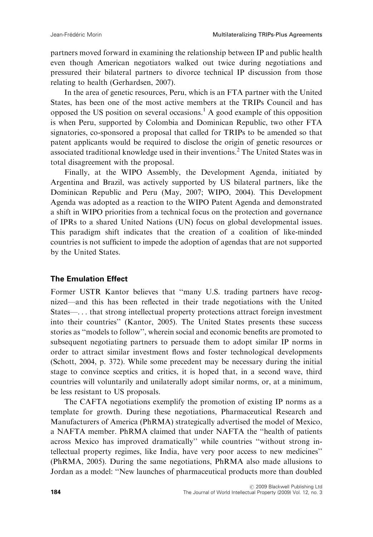partners moved forward in examining the relationship between IP and public health even though American negotiators walked out twice during negotiations and pressured their bilateral partners to divorce technical IP discussion from those relating to health (Gerhardsen, 2007).

In the area of genetic resources, Peru, which is an FTA partner with the United States, has been one of the most active members at the TRIPs Council and has opposed the US position on several occasions.<sup>1</sup> A good example of this opposition is when Peru, supported by Colombia and Dominican Republic, two other FTA signatories, co-sponsored a proposal that called for TRIPs to be amended so that patent applicants would be required to disclose the origin of genetic resources or associated traditional knowledge used in their inventions.<sup>2</sup> The United States was in total disagreement with the proposal.

Finally, at the WIPO Assembly, the Development Agenda, initiated by Argentina and Brazil, was actively supported by US bilateral partners, like the Dominican Republic and Peru (May, 2007; WIPO, 2004). This Development Agenda was adopted as a reaction to the WIPO Patent Agenda and demonstrated a shift in WIPO priorities from a technical focus on the protection and governance of IPRs to a shared United Nations (UN) focus on global developmental issues. This paradigm shift indicates that the creation of a coalition of like-minded countries is not sufficient to impede the adoption of agendas that are not supported by the United States.

#### **The Emulation Effect**

Former USTR Kantor believes that ''many U.S. trading partners have recognized—and this has been reflected in their trade negotiations with the United States—. . . that strong intellectual property protections attract foreign investment into their countries'' (Kantor, 2005). The United States presents these success stories as ''models to follow'', wherein social and economic benefits are promoted to subsequent negotiating partners to persuade them to adopt similar IP norms in order to attract similar investment flows and foster technological developments (Schott, 2004, p. 372). While some precedent may be necessary during the initial stage to convince sceptics and critics, it is hoped that, in a second wave, third countries will voluntarily and unilaterally adopt similar norms, or, at a minimum, be less resistant to US proposals.

The CAFTA negotiations exemplify the promotion of existing IP norms as a template for growth. During these negotiations, Pharmaceutical Research and Manufacturers of America (PhRMA) strategically advertised the model of Mexico, a NAFTA member. PhRMA claimed that under NAFTA the ''health of patients across Mexico has improved dramatically'' while countries ''without strong intellectual property regimes, like India, have very poor access to new medicines'' (PhRMA, 2005). During the same negotiations, PhRMA also made allusions to Jordan as a model: ''New launches of pharmaceutical products more than doubled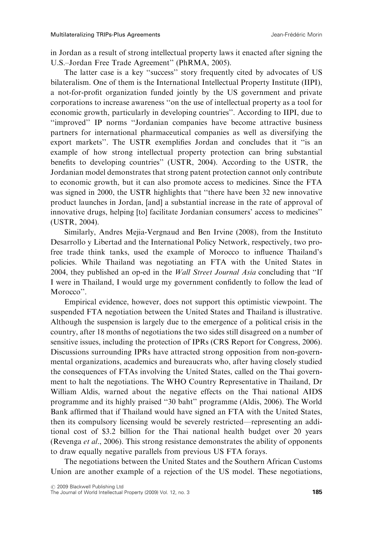in Jordan as a result of strong intellectual property laws it enacted after signing the U.S.–Jordan Free Trade Agreement'' (PhRMA, 2005).

The latter case is a key ''success'' story frequently cited by advocates of US bilateralism. One of them is the International Intellectual Property Institute (IIPI), a not-for-profit organization funded jointly by the US government and private corporations to increase awareness ''on the use of intellectual property as a tool for economic growth, particularly in developing countries''. According to IIPI, due to ''improved'' IP norms ''Jordanian companies have become attractive business partners for international pharmaceutical companies as well as diversifying the export markets". The USTR exemplifies Jordan and concludes that it "is an example of how strong intellectual property protection can bring substantial benefits to developing countries'' (USTR, 2004). According to the USTR, the Jordanian model demonstrates that strong patent protection cannot only contribute to economic growth, but it can also promote access to medicines. Since the FTA was signed in 2000, the USTR highlights that ''there have been 32 new innovative product launches in Jordan, [and] a substantial increase in the rate of approval of innovative drugs, helping [to] facilitate Jordanian consumers' access to medicines'' (USTR, 2004).

Similarly, Andres Mejia-Vergnaud and Ben Irvine (2008), from the Instituto Desarrollo y Libertad and the International Policy Network, respectively, two profree trade think tanks, used the example of Morocco to influence Thailand's policies. While Thailand was negotiating an FTA with the United States in 2004, they published an op-ed in the Wall Street Journal Asia concluding that ''If I were in Thailand, I would urge my government confidently to follow the lead of Morocco".

Empirical evidence, however, does not support this optimistic viewpoint. The suspended FTA negotiation between the United States and Thailand is illustrative. Although the suspension is largely due to the emergence of a political crisis in the country, after 18 months of negotiations the two sides still disagreed on a number of sensitive issues, including the protection of IPRs (CRS Report for Congress, 2006). Discussions surrounding IPRs have attracted strong opposition from non-governmental organizations, academics and bureaucrats who, after having closely studied the consequences of FTAs involving the United States, called on the Thai government to halt the negotiations. The WHO Country Representative in Thailand, Dr William Aldis, warned about the negative effects on the Thai national AIDS programme and its highly praised ''30 baht'' programme (Aldis, 2006). The World Bank affirmed that if Thailand would have signed an FTA with the United States, then its compulsory licensing would be severely restricted—representing an additional cost of \$3.2 billion for the Thai national health budget over 20 years (Revenga et al., 2006). This strong resistance demonstrates the ability of opponents to draw equally negative parallels from previous US FTA forays.

The negotiations between the United States and the Southern African Customs Union are another example of a rejection of the US model. These negotiations,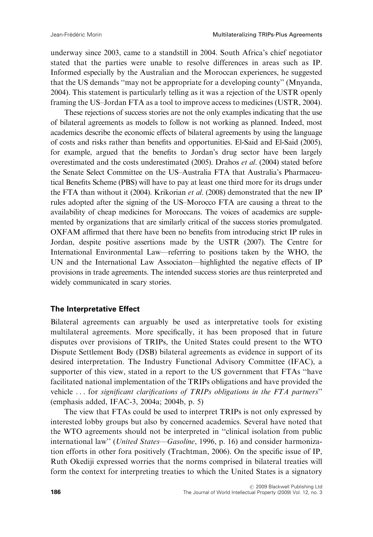underway since 2003, came to a standstill in 2004. South Africa's chief negotiator stated that the parties were unable to resolve differences in areas such as IP. Informed especially by the Australian and the Moroccan experiences, he suggested that the US demands ''may not be appropriate for a developing county'' (Mnyanda, 2004). This statement is particularly telling as it was a rejection of the USTR openly framing the US–Jordan FTA as a tool to improve access to medicines (USTR, 2004).

These rejections of success stories are not the only examples indicating that the use of bilateral agreements as models to follow is not working as planned. Indeed, most academics describe the economic effects of bilateral agreements by using the language of costs and risks rather than benefits and opportunities. El-Said and El-Said (2005), for example, argued that the benefits to Jordan's drug sector have been largely overestimated and the costs underestimated (2005). Drahos et al. (2004) stated before the Senate Select Committee on the US–Australia FTA that Australia's Pharmaceutical Benefits Scheme (PBS) will have to pay at least one third more for its drugs under the FTA than without it (2004). Krikorian *et al.* (2008) demonstrated that the new IP rules adopted after the signing of the US–Morocco FTA are causing a threat to the availability of cheap medicines for Moroccans. The voices of academics are supplemented by organizations that are similarly critical of the success stories promulgated. OXFAM affirmed that there have been no benefits from introducing strict IP rules in Jordan, despite positive assertions made by the USTR (2007). The Centre for International Environmental Law—referring to positions taken by the WHO, the UN and the International Law Associaton—highlighted the negative effects of IP provisions in trade agreements. The intended success stories are thus reinterpreted and widely communicated in scary stories.

## **The Interpretative Effect**

Bilateral agreements can arguably be used as interpretative tools for existing multilateral agreements. More specifically, it has been proposed that in future disputes over provisions of TRIPs, the United States could present to the WTO Dispute Settlement Body (DSB) bilateral agreements as evidence in support of its desired interpretation. The Industry Functional Advisory Committee (IFAC), a supporter of this view, stated in a report to the US government that FTAs ''have facilitated national implementation of the TRIPs obligations and have provided the vehicle ... for significant clarifications of TRIPs obligations in the FTA partners" (emphasis added, IFAC-3, 2004a; 2004b, p. 5)

The view that FTAs could be used to interpret TRIPs is not only expressed by interested lobby groups but also by concerned academics. Several have noted that the WTO agreements should not be interpreted in ''clinical isolation from public international law'' (United States—Gasoline, 1996, p. 16) and consider harmonization efforts in other fora positively (Trachtman, 2006). On the specific issue of IP, Ruth Okediji expressed worries that the norms comprised in bilateral treaties will form the context for interpreting treaties to which the United States is a signatory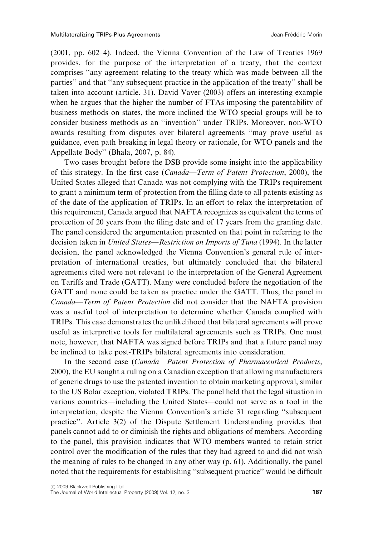(2001, pp. 602–4). Indeed, the Vienna Convention of the Law of Treaties 1969 provides, for the purpose of the interpretation of a treaty, that the context comprises ''any agreement relating to the treaty which was made between all the parties'' and that ''any subsequent practice in the application of the treaty'' shall be taken into account (article. 31). David Vaver (2003) offers an interesting example when he argues that the higher the number of FTAs imposing the patentability of business methods on states, the more inclined the WTO special groups will be to consider business methods as an ''invention'' under TRIPs. Moreover, non-WTO awards resulting from disputes over bilateral agreements ''may prove useful as guidance, even path breaking in legal theory or rationale, for WTO panels and the Appellate Body'' (Bhala, 2007, p. 84).

Two cases brought before the DSB provide some insight into the applicability of this strategy. In the first case (Canada—Term of Patent Protection, 2000), the United States alleged that Canada was not complying with the TRIPs requirement to grant a minimum term of protection from the filling date to all patents existing as of the date of the application of TRIPs. In an effort to relax the interpretation of this requirement, Canada argued that NAFTA recognizes as equivalent the terms of protection of 20 years from the filing date and of 17 years from the granting date. The panel considered the argumentation presented on that point in referring to the decision taken in United States—Restriction on Imports of Tuna (1994). In the latter decision, the panel acknowledged the Vienna Convention's general rule of interpretation of international treaties, but ultimately concluded that the bilateral agreements cited were not relevant to the interpretation of the General Agreement on Tariffs and Trade (GATT). Many were concluded before the negotiation of the GATT and none could be taken as practice under the GATT. Thus, the panel in Canada—Term of Patent Protection did not consider that the NAFTA provision was a useful tool of interpretation to determine whether Canada complied with TRIPs. This case demonstrates the unlikelihood that bilateral agreements will prove useful as interpretive tools for multilateral agreements such as TRIPs. One must note, however, that NAFTA was signed before TRIPs and that a future panel may be inclined to take post-TRIPs bilateral agreements into consideration.

In the second case (Canada—Patent Protection of Pharmaceutical Products, 2000), the EU sought a ruling on a Canadian exception that allowing manufacturers of generic drugs to use the patented invention to obtain marketing approval, similar to the US Bolar exception, violated TRIPs. The panel held that the legal situation in various countries—including the United States—could not serve as a tool in the interpretation, despite the Vienna Convention's article 31 regarding ''subsequent practice''. Article 3(2) of the Dispute Settlement Understanding provides that panels cannot add to or diminish the rights and obligations of members. According to the panel, this provision indicates that WTO members wanted to retain strict control over the modification of the rules that they had agreed to and did not wish the meaning of rules to be changed in any other way (p. 61). Additionally, the panel noted that the requirements for establishing ''subsequent practice'' would be difficult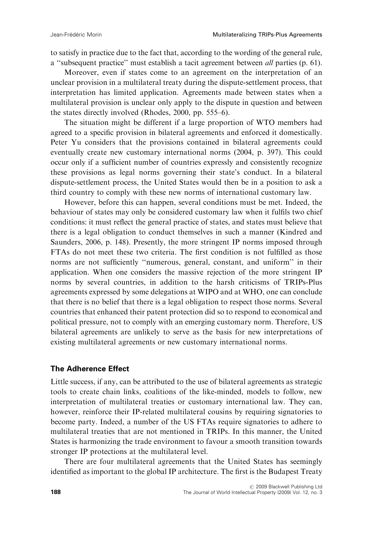to satisfy in practice due to the fact that, according to the wording of the general rule, a ''subsequent practice'' must establish a tacit agreement between all parties (p. 61).

Moreover, even if states come to an agreement on the interpretation of an unclear provision in a multilateral treaty during the dispute-settlement process, that interpretation has limited application. Agreements made between states when a multilateral provision is unclear only apply to the dispute in question and between the states directly involved (Rhodes, 2000, pp. 555–6).

The situation might be different if a large proportion of WTO members had agreed to a specific provision in bilateral agreements and enforced it domestically. Peter Yu considers that the provisions contained in bilateral agreements could eventually create new customary international norms (2004, p. 397). This could occur only if a sufficient number of countries expressly and consistently recognize these provisions as legal norms governing their state's conduct. In a bilateral dispute-settlement process, the United States would then be in a position to ask a third country to comply with these new norms of international customary law.

However, before this can happen, several conditions must be met. Indeed, the behaviour of states may only be considered customary law when it fulfils two chief conditions: it must reflect the general practice of states, and states must believe that there is a legal obligation to conduct themselves in such a manner (Kindred and Saunders, 2006, p. 148). Presently, the more stringent IP norms imposed through FTAs do not meet these two criteria. The first condition is not fulfilled as those norms are not sufficiently ''numerous, general, constant, and uniform'' in their application. When one considers the massive rejection of the more stringent IP norms by several countries, in addition to the harsh criticisms of TRIPs-Plus agreements expressed by some delegations at WIPO and at WHO, one can conclude that there is no belief that there is a legal obligation to respect those norms. Several countries that enhanced their patent protection did so to respond to economical and political pressure, not to comply with an emerging customary norm. Therefore, US bilateral agreements are unlikely to serve as the basis for new interpretations of existing multilateral agreements or new customary international norms.

## **The Adherence Effect**

Little success, if any, can be attributed to the use of bilateral agreements as strategic tools to create chain links, coalitions of the like-minded, models to follow, new interpretation of multilateral treaties or customary international law. They can, however, reinforce their IP-related multilateral cousins by requiring signatories to become party. Indeed, a number of the US FTAs require signatories to adhere to multilateral treaties that are not mentioned in TRIPs. In this manner, the United States is harmonizing the trade environment to favour a smooth transition towards stronger IP protections at the multilateral level.

There are four multilateral agreements that the United States has seemingly identified as important to the global IP architecture. The first is the Budapest Treaty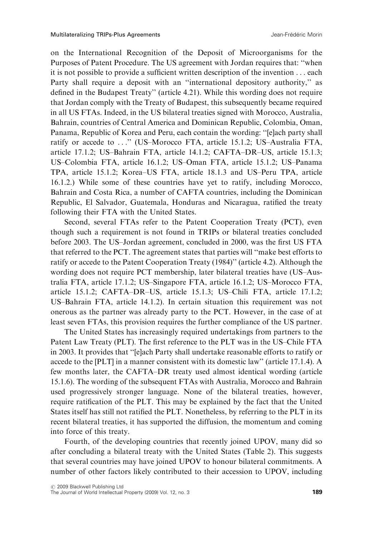on the International Recognition of the Deposit of Microorganisms for the Purposes of Patent Procedure. The US agreement with Jordan requires that: ''when it is not possible to provide a sufficient written description of the invention . . . each Party shall require a deposit with an "international depository authority," as defined in the Budapest Treaty'' (article 4.21). While this wording does not require that Jordan comply with the Treaty of Budapest, this subsequently became required in all US FTAs. Indeed, in the US bilateral treaties signed with Morocco, Australia, Bahrain, countries of Central America and Dominican Republic, Colombia, Oman, Panama, Republic of Korea and Peru, each contain the wording: ''[e]ach party shall ratify or accede to . . .'' (US–Morocco FTA, article 15.1.2; US–Australia FTA, article 17.1.2; US–Bahrain FTA, article 14.1.2; CAFTA–DR–US, article 15.1.3; US–Colombia FTA, article 16.1.2; US–Oman FTA, article 15.1.2; US–Panama TPA, article 15.1.2; Korea–US FTA, article 18.1.3 and US–Peru TPA, article 16.1.2.) While some of these countries have yet to ratify, including Morocco, Bahrain and Costa Rica, a number of CAFTA countries, including the Dominican Republic, El Salvador, Guatemala, Honduras and Nicaragua, ratified the treaty following their FTA with the United States.

Second, several FTAs refer to the Patent Cooperation Treaty (PCT), even though such a requirement is not found in TRIPs or bilateral treaties concluded before 2003. The US–Jordan agreement, concluded in 2000, was the first US FTA that referred to the PCT. The agreement states that parties will ''make best efforts to ratify or accede to the Patent Cooperation Treaty (1984)'' (article 4.2). Although the wording does not require PCT membership, later bilateral treaties have (US–Australia FTA, article 17.1.2; US–Singapore FTA, article 16.1.2; US–Morocco FTA, article 15.1.2; CAFTA–DR–US, article 15.1.3; US–Chili FTA, article 17.1.2; US–Bahrain FTA, article 14.1.2). In certain situation this requirement was not onerous as the partner was already party to the PCT. However, in the case of at least seven FTAs, this provision requires the further compliance of the US partner.

The United States has increasingly required undertakings from partners to the Patent Law Treaty (PLT). The first reference to the PLT was in the US–Chile FTA in 2003. It provides that ''[e]ach Party shall undertake reasonable efforts to ratify or accede to the [PLT] in a manner consistent with its domestic law'' (article 17.1.4). A few months later, the CAFTA–DR treaty used almost identical wording (article 15.1.6). The wording of the subsequent FTAs with Australia, Morocco and Bahrain used progressively stronger language. None of the bilateral treaties, however, require ratification of the PLT. This may be explained by the fact that the United States itself has still not ratified the PLT. Nonetheless, by referring to the PLT in its recent bilateral treaties, it has supported the diffusion, the momentum and coming into force of this treaty.

Fourth, of the developing countries that recently joined UPOV, many did so after concluding a bilateral treaty with the United States (Table 2). This suggests that several countries may have joined UPOV to honour bilateral commitments. A number of other factors likely contributed to their accession to UPOV, including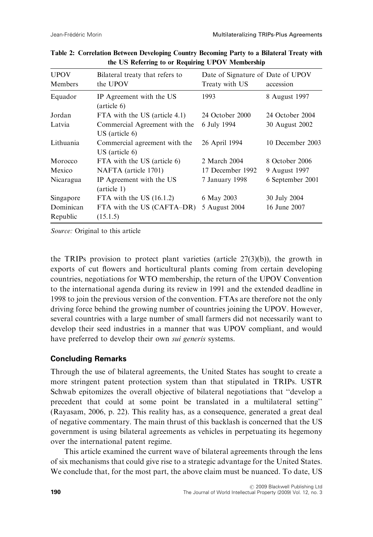| <b>UPOV</b><br><b>Members</b> | Bilateral treaty that refers to<br>the UPOV        | Date of Signature of Date of UPOV<br>Treaty with US | accession        |
|-------------------------------|----------------------------------------------------|-----------------------------------------------------|------------------|
| Equador                       | IP Agreement with the US<br>$(\text{article } 6)$  | 1993                                                | 8 August 1997    |
| Jordan                        | FTA with the US (article 4.1)                      | 24 October 2000                                     | 24 October 2004  |
| Latvia                        | Commercial Agreement with the<br>US (article $6$ ) | 6 July 1994                                         | 30 August 2002   |
| Lithuania                     | Commercial agreement with the<br>US (article $6$ ) | 26 April 1994                                       | 10 December 2003 |
| Morocco                       | FTA with the US (article 6)                        | 2 March 2004                                        | 8 October 2006   |
| Mexico                        | NAFTA (article 1701)                               | 17 December 1992                                    | 9 August 1997    |
| Nicaragua                     | IP Agreement with the US<br>(article 1)            | 7 January 1998                                      | 6 September 2001 |
| Singapore                     | FTA with the US $(16.1.2)$                         | 6 May 2003                                          | 30 July 2004     |
| Dominican<br>Republic         | FTA with the US (CAFTA–DR)<br>(15.1.5)             | 5 August 2004                                       | 16 June 2007     |

Table 2: Correlation Between Developing Country Becoming Party to a Bilateral Treaty with the US Referring to or Requiring UPOV Membership

Source: Original to this article

the TRIPs provision to protect plant varieties (article  $27(3)(b)$ ), the growth in exports of cut flowers and horticultural plants coming from certain developing countries, negotiations for WTO membership, the return of the UPOV Convention to the international agenda during its review in 1991 and the extended deadline in 1998 to join the previous version of the convention. FTAs are therefore not the only driving force behind the growing number of countries joining the UPOV. However, several countries with a large number of small farmers did not necessarily want to develop their seed industries in a manner that was UPOV compliant, and would have preferred to develop their own *sui generis* systems.

## **Concluding Remarks**

Through the use of bilateral agreements, the United States has sought to create a more stringent patent protection system than that stipulated in TRIPs. USTR Schwab epitomizes the overall objective of bilateral negotiations that ''develop a precedent that could at some point be translated in a multilateral setting'' (Rayasam, 2006, p. 22). This reality has, as a consequence, generated a great deal of negative commentary. The main thrust of this backlash is concerned that the US government is using bilateral agreements as vehicles in perpetuating its hegemony over the international patent regime.

This article examined the current wave of bilateral agreements through the lens of six mechanisms that could give rise to a strategic advantage for the United States. We conclude that, for the most part, the above claim must be nuanced. To date, US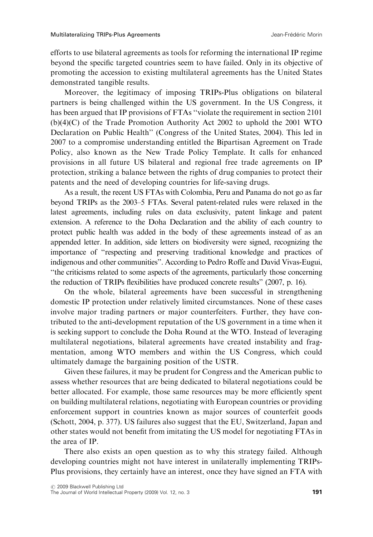efforts to use bilateral agreements as tools for reforming the international IP regime beyond the specific targeted countries seem to have failed. Only in its objective of promoting the accession to existing multilateral agreements has the United States demonstrated tangible results.

Moreover, the legitimacy of imposing TRIPs-Plus obligations on bilateral partners is being challenged within the US government. In the US Congress, it has been argued that IP provisions of FTAs ''violate the requirement in section 2101 (b)(4)(C) of the Trade Promotion Authority Act 2002 to uphold the 2001 WTO Declaration on Public Health'' (Congress of the United States, 2004). This led in 2007 to a compromise understanding entitled the Bipartisan Agreement on Trade Policy, also known as the New Trade Policy Template. It calls for enhanced provisions in all future US bilateral and regional free trade agreements on IP protection, striking a balance between the rights of drug companies to protect their patents and the need of developing countries for life-saving drugs.

As a result, the recent US FTAs with Colombia, Peru and Panama do not go as far beyond TRIPs as the 2003–5 FTAs. Several patent-related rules were relaxed in the latest agreements, including rules on data exclusivity, patent linkage and patent extension. A reference to the Doha Declaration and the ability of each country to protect public health was added in the body of these agreements instead of as an appended letter. In addition, side letters on biodiversity were signed, recognizing the importance of ''respecting and preserving traditional knowledge and practices of indigenous and other communities''. According to Pedro Roffe and David Vivas-Eugui, ''the criticisms related to some aspects of the agreements, particularly those concerning the reduction of TRIPs flexibilities have produced concrete results'' (2007, p. 16).

On the whole, bilateral agreements have been successful in strengthening domestic IP protection under relatively limited circumstances. None of these cases involve major trading partners or major counterfeiters. Further, they have contributed to the anti-development reputation of the US government in a time when it is seeking support to conclude the Doha Round at the WTO. Instead of leveraging multilateral negotiations, bilateral agreements have created instability and fragmentation, among WTO members and within the US Congress, which could ultimately damage the bargaining position of the USTR.

Given these failures, it may be prudent for Congress and the American public to assess whether resources that are being dedicated to bilateral negotiations could be better allocated. For example, those same resources may be more efficiently spent on building multilateral relations, negotiating with European countries or providing enforcement support in countries known as major sources of counterfeit goods (Schott, 2004, p. 377). US failures also suggest that the EU, Switzerland, Japan and other states would not benefit from imitating the US model for negotiating FTAs in the area of IP.

There also exists an open question as to why this strategy failed. Although developing countries might not have interest in unilaterally implementing TRIPs-Plus provisions, they certainly have an interest, once they have signed an FTA with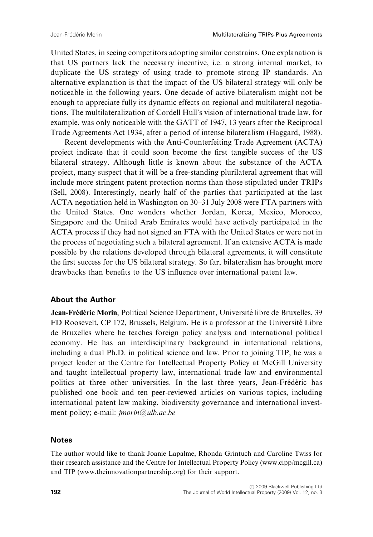United States, in seeing competitors adopting similar constrains. One explanation is that US partners lack the necessary incentive, i.e. a strong internal market, to duplicate the US strategy of using trade to promote strong IP standards. An alternative explanation is that the impact of the US bilateral strategy will only be noticeable in the following years. One decade of active bilateralism might not be enough to appreciate fully its dynamic effects on regional and multilateral negotiations. The multilateralization of Cordell Hull's vision of international trade law, for example, was only noticeable with the GATT of 1947, 13 years after the Reciprocal Trade Agreements Act 1934, after a period of intense bilateralism (Haggard, 1988).

Recent developments with the Anti-Counterfeiting Trade Agreement (ACTA) project indicate that it could soon become the first tangible success of the US bilateral strategy. Although little is known about the substance of the ACTA project, many suspect that it will be a free-standing plurilateral agreement that will include more stringent patent protection norms than those stipulated under TRIPs (Sell, 2008). Interestingly, nearly half of the parties that participated at the last ACTA negotiation held in Washington on 30–31 July 2008 were FTA partners with the United States. One wonders whether Jordan, Korea, Mexico, Morocco, Singapore and the United Arab Emirates would have actively participated in the ACTA process if they had not signed an FTA with the United States or were not in the process of negotiating such a bilateral agreement. If an extensive ACTA is made possible by the relations developed through bilateral agreements, it will constitute the first success for the US bilateral strategy. So far, bilateralism has brought more drawbacks than benefits to the US influence over international patent law.

## **About the Author**

Jean-Frédéric Morin, Political Science Department, Université libre de Bruxelles, 39 FD Roosevelt, CP 172, Brussels, Belgium. He is a professor at the Université Libre de Bruxelles where he teaches foreign policy analysis and international political economy. He has an interdisciplinary background in international relations, including a dual Ph.D. in political science and law. Prior to joining TIP, he was a project leader at the Centre for Intellectual Property Policy at McGill University and taught intellectual property law, international trade law and environmental politics at three other universities. In the last three years, Jean-Frédéric has published one book and ten peer-reviewed articles on various topics, including international patent law making, biodiversity governance and international investment policy; e-mail: *jmorin@ulb.ac.be* 

#### **Notes**

The author would like to thank Joanie Lapalme, Rhonda Grintuch and Caroline Twiss for their research assistance and the Centre for Intellectual Property Policy (www.cipp/mcgill.ca) and TIP (www.theinnovationpartnership.org) for their support.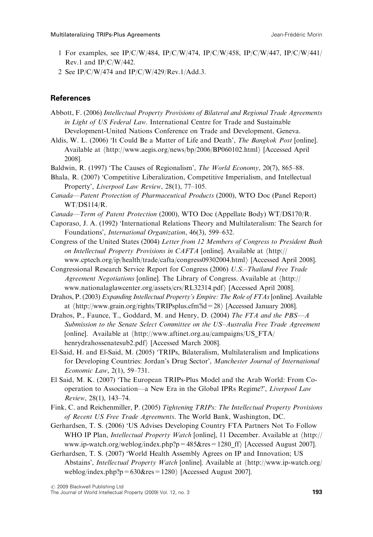- 1 For examples, see IP/C/W/484, IP/C/W/474, IP/C/W/458, IP/C/W/447, IP/C/W/441/ Rev.1 and IP/C/W/442.
- 2 See IP/C/W/474 and IP/C/W/429/Rev.1/Add.3.

#### **References**

- Abbott, F. (2006) Intellectual Property Provisions of Bilateral and Regional Trade Agreements in Light of US Federal Law. International Centre for Trade and Sustainable Development-United Nations Conference on Trade and Development, Geneva.
- Aldis, W. L. (2006) 'It Could Be a Matter of Life and Death', The Bangkok Post [online]. Available at  $\langle$ http://www.aegis.org/news/bp/2006/BP060102.html $\rangle$  [Accessed April 2008].
- Baldwin, R. (1997) 'The Causes of Regionalism', The World Economy, 20(7), 865–88.
- Bhala, R. (2007) 'Competitive Liberalization, Competitive Imperialism, and Intellectual Property', Liverpool Law Review, 28(1), 77-105.
- Canada—Patent Protection of Pharmaceutical Products (2000), WTO Doc (Panel Report) WT/DS114/R.
- Canada—Term of Patent Protection (2000), WTO Doc (Appellate Body) WT/DS170/R.
- Caporaso, J. A. (1992) 'International Relations Theory and Multilateralism: The Search for Foundations', International Organization, 46(3), 599–632.
- Congress of the United States (2004) Letter from 12 Members of Congress to President Bush on Intellectual Property Provisions in CAFTA [online]. Available at  $\langle$ http:// www.cptech.org/ip/health/trade/cafta/congress09302004.html) [Accessed April 2008].
- Congressional Research Service Report for Congress (2006) U.S.–Thailand Free Trade Agreement Negotiations [online]. The Library of Congress. Available at  $\langle$ http:// www.nationalaglawcenter.org/assets/crs/RL32314.pdf) [Accessed April 2008].
- Drahos, P. (2003) Expanding Intellectual Property's Empire: The Role of FTAs [online]. Available at  $\hbar$ thtp://www.grain.org/rights/TRIPsplus.cfm?id=28 $\hbar$  [Accessed January 2008].
- Drahos, P., Faunce, T., Goddard, M. and Henry, D. (2004) The FTA and the PBS—A Submission to the Senate Select Committee on the US–Australia Free Trade Agreement [online]. Available at  $\langle \text{http://www.aftinet.org.au/campaigns/US FTA/}$ henrydrahossenatesub2.pdf) [Accessed March 2008].
- El-Said, H. and El-Said, M. (2005) 'TRIPs, Bilateralism, Multilateralism and Implications for Developing Countries: Jordan's Drug Sector', Manchester Journal of International Economic Law, 2(1), 59–731.
- El Said, M. K. (2007) 'The European TRIPs-Plus Model and the Arab World: From Cooperation to Association—a New Era in the Global IPRs Regime?', Liverpool Law Review, 28(1), 143–74.
- Fink, C. and Reichenmiller, P. (2005) Tightening TRIPs: The Intellectual Property Provisions of Recent US Free Trade Agreements. The World Bank, Washington, DC.
- Gerhardsen, T. S. (2006) 'US Advises Developing Country FTA Partners Not To Follow WHO IP Plan, *Intellectual Property Watch* [online], 11 December. Available at  $\frac{\text{http://}}{\text{http://}}$ www.ip-watch.org/weblog/index.php?p=485&res=1280 ff) [Accessed August 2007].
- Gerhardsen, T. S. (2007) 'World Health Assembly Agrees on IP and Innovation; US Abstains', *Intellectual Property Watch* [online]. Available at  $\frac{\text{http://www.ip-watch.org/}}{\text{http://www.ip-watch.org/}}$ weblog/index.php?p=630&res=1280 $\langle$  [Accessed August 2007].

 $C$  2009 Blackwell Publishing Ltd

The Journal of World Intellectual Property (2009) Vol. 12, no. 3 **193**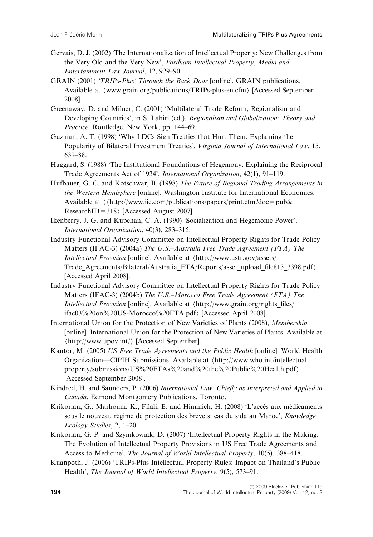- Gervais, D. J. (2002) 'The Internationalization of Intellectual Property: New Challenges from the Very Old and the Very New', Fordham Intellectual Property, Media and Entertainment Law Journal, 12, 929–90.
- GRAIN (2001) 'TRIPs-Plus' Through the Back Door [online]. GRAIN publications. Available at  $\langle$  www.grain.org/publications/TRIPs-plus-en.cfm $\rangle$  [Accessed September 2008].
- Greenaway, D. and Milner, C. (2001) 'Multilateral Trade Reform, Regionalism and Developing Countries', in S. Lahiri (ed.), Regionalism and Globalization: Theory and Practice. Routledge, New York, pp. 144–69.
- Guzman, A. T. (1998) 'Why LDCs Sign Treaties that Hurt Them: Explaining the Popularity of Bilateral Investment Treaties', Virginia Journal of International Law, 15, 639–88.
- Haggard, S. (1988) 'The Institutional Foundations of Hegemony: Explaining the Reciprocal Trade Agreements Act of 1934', International Organization, 42(1), 91–119.
- Hufbauer, G. C. and Kotschwar, B. (1998) The Future of Regional Trading Arrangements in the Western Hemisphere [online]. Washington Institute for International Economics. Available at  $\langle \hat{\text{http://www.ie.com/publications/papers/print.cfm?doc} = \text{pub& }$ ResearchID=318 $\langle$  [Accessed August 2007].
- Ikenberry, J. G. and Kupchan, C. A. (1990) 'Socialization and Hegemonic Power', International Organization, 40(3), 283–315.
- Industry Functional Advisory Committee on Intellectual Property Rights for Trade Policy Matters (IFAC-3) (2004a) The U.S.–Australia Free Trade Agreement (FTA) The Intellectual Provision [online]. Available at  $\langle \text{http://www.ustr.gov/assets/}$ Trade Agreements/Bilateral/Australia FTA/Reports/asset upload file813 3398.pdf) [Accessed April 2008].
- Industry Functional Advisory Committee on Intellectual Property Rights for Trade Policy Matters (IFAC-3) (2004b) The U.S.–Morocco Free Trade Agreement (FTA) The Intellectual Provision [online]. Available at  $\langle$ http://www.grain.org/rights files/ ifac03%20on%20US-Morocco%20FTA.pdf [Accessed April 2008].
- International Union for the Protection of New Varieties of Plants (2008), Membership [online]. International Union for the Protection of New Varieties of Plants. Available at  $\langle \text{http://www.upov.int/}\rangle$  [Accessed September].
- Kantor, M. (2005) US Free Trade Agreements and the Public Health [online]. World Health Organization—CIPIH Submissions, Available at  $\langle \text{http://www.who.int/intellectual}$ property/submissions/US%20FTAs%20and%20the%20Public%20Health.pdfi [Accessed September 2008].
- Kindred, H. and Saunders, P. (2006) International Law: Chiefly as Interpreted and Applied in Canada. Edmond Montgomery Publications, Toronto.
- Krikorian, G., Marhoum, K., Filali, E. and Himmich, H. (2008) 'L'accès aux médicaments sous le nouveau régime de protection des brevets: cas du sida au Maroc', *Knowledge* Ecology Studies, 2, 1–20.
- Krikorian, G. P. and Szymkowiak, D. (2007) 'Intellectual Property Rights in the Making: The Evolution of Intellectual Property Provisions in US Free Trade Agreements and Access to Medicine', The Journal of World Intellectual Property, 10(5), 388–418.
- Kuanpoth, J. (2006) 'TRIPs-Plus Intellectual Property Rules: Impact on Thailand's Public Health', The Journal of World Intellectual Property, 9(5), 573–91.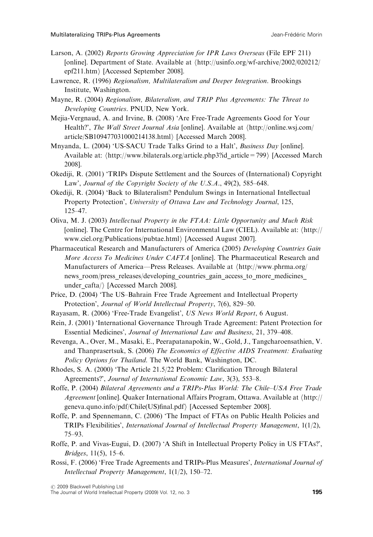- Larson, A. (2002) Reports Growing Appreciation for IPR Laws Overseas (File EPF 211) [online]. Department of State. Available at  $\frac{\hbar}{\hbar}$  /[usinfo.org/wf-archive/2002/020212/ epf211.htm) [Accessed September 2008].
- Lawrence, R. (1996) Regionalism, Multilateralism and Deeper Integration. Brookings Institute, Washington.
- Mayne, R. (2004) Regionalism, Bilateralism, and TRIP Plus Agreements: The Threat to Developing Countries. PNUD, New York.
- Mejia-Vergnaud, A. and Irvine, B. (2008) 'Are Free-Trade Agreements Good for Your Health?', The Wall Street Journal Asia [online]. Available at  $\langle \text{http://online.wsj.com/}$ article/SB109477031000214138.html [Accessed March 2008].
- Mnyanda, L. (2004) 'US-SACU Trade Talks Grind to a Halt', Business Day [online]. Available at:  $\frac{http://www.bilaterals.org/article.php3?id_article=799}{$  [Accessed March2008].
- Okediji, R. (2001) 'TRIPs Dispute Settlement and the Sources of (International) Copyright Law', Journal of the Copyright Society of the U.S.A., 49(2), 585-648.
- Okediji, R. (2004) 'Back to Bilateralism? Pendulum Swings in International Intellectual Property Protection', University of Ottawa Law and Technology Journal, 125, 125–47.
- Oliva, M. J. (2003) Intellectual Property in the FTAA: Little Opportunity and Much Risk [online]. The Centre for International Environmental Law (CIEL). Available at:  $\frac{http://}{http://}$ www.ciel.org/Publications/pubtae.html) [Accessed August 2007].
- Pharmaceutical Research and Manufacturers of America (2005) Developing Countries Gain More Access To Medicines Under CAFTA [online]. The Pharmaceutical Research and Manufacturers of America—Press Releases. Available at  $\langle$ http://www.phrma.org/ news\_room/press\_releases/developing\_countries\_gain\_access\_to\_more\_medicines\_ under  $\text{caffa/}$  [Accessed March 2008].
- Price, D. (2004) 'The US–Bahrain Free Trade Agreement and Intellectual Property Protection', Journal of World Intellectual Property, 7(6), 829–50.
- Rayasam, R. (2006) 'Free-Trade Evangelist', US News World Report, 6 August.
- Rein, J. (2001) 'International Governance Through Trade Agreement: Patent Protection for Essential Medicines', Journal of International Law and Business, 21, 379–408.
- Revenga, A., Over, M., Masaki, E., Peerapatanapokin, W., Gold, J., Tangcharoensathien, V. and Thanprasertsuk, S. (2006) The Economics of Effective AIDS Treatment: Evaluating Policy Options for Thailand. The World Bank, Washington, DC.
- Rhodes, S. A. (2000) 'The Article 21.5/22 Problem: Clarification Through Bilateral Agreements?', Journal of International Economic Law, 3(3), 553–8.
- Roffe, P. (2004) Bilateral Agreements and a TRIPs-Plus World: The Chile–USA Free Trade Agreement [online]. Quaker International Affairs Program, Ottawa. Available at  $\langle$ http:// geneva.quno.info/pdf/Chile(US)final.pdf) [Accessed September 2008].
- Roffe, P. and Spennemann, C. (2006) 'The Impact of FTAs on Public Health Policies and TRIPs Flexibilities', International Journal of Intellectual Property Management, 1(1/2), 75–93.
- Roffe, P. and Vivas-Eugui, D. (2007) 'A Shift in Intellectual Property Policy in US FTAs?', Bridges, 11(5), 15–6.
- Rossi, F. (2006) 'Free Trade Agreements and TRIPs-Plus Measures', International Journal of Intellectual Property Management, 1(1/2), 150–72.

 $C$  2009 Blackwell Publishing Ltd

The Journal of World Intellectual Property (2009) Vol. 12, no. 3 **195**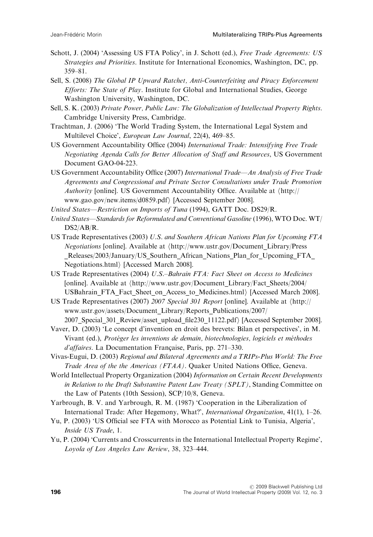- Schott, J. (2004) 'Assessing US FTA Policy', in J. Schott (ed.), Free Trade Agreements: US Strategies and Priorities. Institute for International Economics, Washington, DC, pp. 359–81.
- Sell, S. (2008) The Global IP Upward Ratchet, Anti-Counterfeiting and Piracy Enforcement Efforts: The State of Play. Institute for Global and International Studies, George Washington University, Washington, DC.
- Sell, S. K. (2003) Private Power, Public Law: The Globalization of Intellectual Property Rights. Cambridge University Press, Cambridge.
- Trachtman, J. (2006) 'The World Trading System, the International Legal System and Multilevel Choice', European Law Journal, 22(4), 469–85.
- US Government Accountability Office (2004) International Trade: Intensifying Free Trade Negotiating Agenda Calls for Better Allocation of Staff and Resources, US Government Document GAO-04-223.
- US Government Accountability Office (2007) International Trade—An Analysis of Free Trade Agreements and Congressional and Private Sector Consultations under Trade Promotion *Authority* [online]. US Government Accountability Office. Available at  $\langle$ http:// www.gao.gov/new.items/d0859.pdf) [Accessed September 2008].
- United States—Restriction on Imports of Tuna (1994), GATT Doc. DS29/R.
- United States—Standards for Reformulated and Conventional Gasoline (1996), WTO Doc. WT/ DS2/AB/R.
- US Trade Representatives (2003) U.S. and Southern African Nations Plan for Upcoming FTA Negotiations [online]. Available at  $\langle$ http://www.ustr.gov/Document\_Library/Press Releases/2003/January/US\_Southern\_African\_Nations\_Plan\_for\_Upcoming\_FTA Negotiations.html) [Accessed March 2008].
- US Trade Representatives (2004) U.S.–Bahrain FTA: Fact Sheet on Access to Medicines [online]. Available at  $\hbar t$  /http://www.ustr.gov/Document\_Library/Fact\_Sheets/2004/ USBahrain\_FTA\_Fact\_Sheet\_on\_Access\_to\_Medicines.html) [Accessed March 2008].
- US Trade Representatives (2007) 2007 Special 301 Report [online]. Available at  $\langle$ http:// www.ustr.gov/assets/Document\_Library/Reports\_Publications/2007/ 2007 Special 301 Review/asset upload file230 11122.pdf) [Accessed September 2008].
- Vaver, D. (2003) 'Le concept d'invention en droit des brevets: Bilan et perspectives', in M. Vivant (ed.), Protéger les inventions de demain, biotechnologies, logiciels et méthodes d'affaires. La Documentation Française, Paris, pp. 271–330.
- Vivas-Eugui, D. (2003) Regional and Bilateral Agreements and a TRIPs-Plus World: The Free Trade Area of the the Americas (FTAA). Quaker United Nations Office, Geneva.
- World Intellectual Property Organization (2004) Information on Certain Recent Developments in Relation to the Draft Substantive Patent Law Treaty (SPLT), Standing Committee on the Law of Patents (10th Session), SCP/10/8, Geneva.
- Yarbrough, B. V. and Yarbrough, R. M. (1987) 'Cooperation in the Liberalization of International Trade: After Hegemony, What?', International Organization, 41(1), 1–26.
- Yu, P. (2003) 'US Official see FTA with Morocco as Potential Link to Tunisia, Algeria', Inside US Trade, 1.
- Yu, P. (2004) 'Currents and Crosscurrents in the International Intellectual Property Regime', Loyola of Los Angeles Law Review, 38, 323–444.